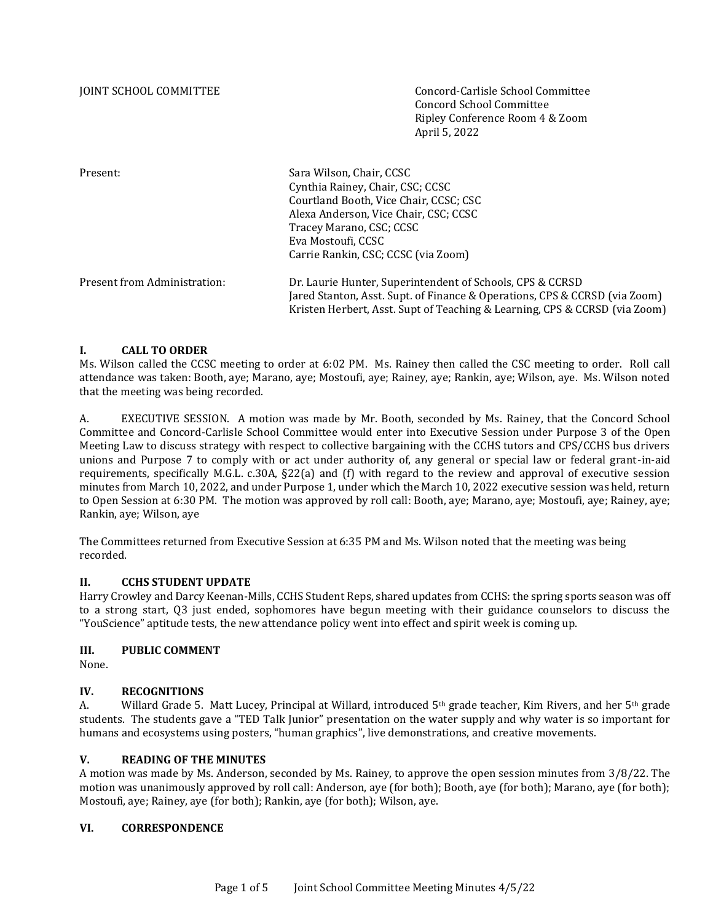JOINT SCHOOL COMMITTEE Concord-Carlisle School Committee Concord School Committee Ripley Conference Room 4 & Zoom April 5, 2022

Present: Sara Wilson, Chair, CCSC Cynthia Rainey, Chair, CSC; CCSC Courtland Booth, Vice Chair, CCSC; CSC Alexa Anderson, Vice Chair, CSC; CCSC Tracey Marano, CSC; CCSC Eva Mostoufi, CCSC Carrie Rankin, CSC; CCSC (via Zoom)

| Present from Administration: | Dr. Laurie Hunter, Superintendent of Schools, CPS & CCRSD                  |
|------------------------------|----------------------------------------------------------------------------|
|                              | [ared Stanton, Asst. Supt. of Finance & Operations, CPS & CCRSD (via Zoom) |
|                              | Kristen Herbert, Asst. Supt of Teaching & Learning, CPS & CCRSD (via Zoom) |

#### **I. CALL TO ORDER**

Ms. Wilson called the CCSC meeting to order at 6:02 PM. Ms. Rainey then called the CSC meeting to order. Roll call attendance was taken: Booth, aye; Marano, aye; Mostoufi, aye; Rainey, aye; Rankin, aye; Wilson, aye. Ms. Wilson noted that the meeting was being recorded.

A. EXECUTIVE SESSION. A motion was made by Mr. Booth, seconded by Ms. Rainey, that the Concord School Committee and Concord-Carlisle School Committee would enter into Executive Session under Purpose 3 of the Open Meeting Law to discuss strategy with respect to collective bargaining with the CCHS tutors and CPS/CCHS bus drivers unions and Purpose 7 to comply with or act under authority of, any general or special law or federal grant-in-aid requirements, specifically M.G.L. c.30A, §22(a) and (f) with regard to the review and approval of executive session minutes from March 10, 2022, and under Purpose 1, under which the March 10, 2022 executive session was held, return to Open Session at 6:30 PM. The motion was approved by roll call: Booth, aye; Marano, aye; Mostoufi, aye; Rainey, aye; Rankin, aye; Wilson, aye

The Committees returned from Executive Session at 6:35 PM and Ms. Wilson noted that the meeting was being recorded.

## **II. CCHS STUDENT UPDATE**

Harry Crowley and Darcy Keenan-Mills, CCHS Student Reps, shared updates from CCHS: the spring sports season was off to a strong start, Q3 just ended, sophomores have begun meeting with their guidance counselors to discuss the "YouScience" aptitude tests, the new attendance policy went into effect and spirit week is coming up.

#### **III. PUBLIC COMMENT**

None.

### **IV. RECOGNITIONS**

A. Willard Grade 5. Matt Lucey, Principal at Willard, introduced 5<sup>th</sup> grade teacher, Kim Rivers, and her 5<sup>th</sup> grade students. The students gave a "TED Talk Junior" presentation on the water supply and why water is so important for humans and ecosystems using posters, "human graphics", live demonstrations, and creative movements.

#### **V. READING OF THE MINUTES**

A motion was made by Ms. Anderson, seconded by Ms. Rainey, to approve the open session minutes from 3/8/22. The motion was unanimously approved by roll call: Anderson, aye (for both); Booth, aye (for both); Marano, aye (for both); Mostoufi, aye; Rainey, aye (for both); Rankin, aye (for both); Wilson, aye.

#### **VI. CORRESPONDENCE**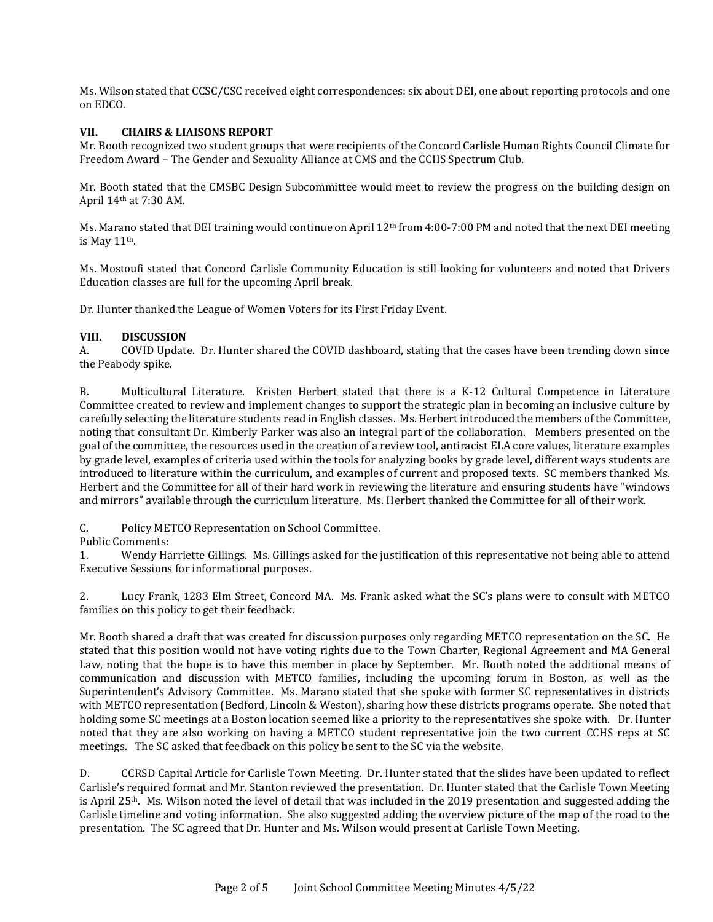Ms. Wilson stated that CCSC/CSC received eight correspondences: six about DEI, one about reporting protocols and one on EDCO.

### **VII. CHAIRS & LIAISONS REPORT**

Mr. Booth recognized two student groups that were recipients of the Concord Carlisle Human Rights Council Climate for Freedom Award – The Gender and Sexuality Alliance at CMS and the CCHS Spectrum Club.

Mr. Booth stated that the CMSBC Design Subcommittee would meet to review the progress on the building design on April 14th at 7:30 AM.

Ms. Marano stated that DEI training would continue on April 12th from 4:00-7:00 PM and noted that the next DEI meeting is May 11th.

Ms. Mostoufi stated that Concord Carlisle Community Education is still looking for volunteers and noted that Drivers Education classes are full for the upcoming April break.

Dr. Hunter thanked the League of Women Voters for its First Friday Event.

# **VIII. DISCUSSION**

A. COVID Update. Dr. Hunter shared the COVID dashboard, stating that the cases have been trending down since the Peabody spike.

B. Multicultural Literature. Kristen Herbert stated that there is a K-12 Cultural Competence in Literature Committee created to review and implement changes to support the strategic plan in becoming an inclusive culture by carefully selecting the literature students read in English classes. Ms. Herbert introduced the members of the Committee, noting that consultant Dr. Kimberly Parker was also an integral part of the collaboration. Members presented on the goal of the committee, the resources used in the creation of a review tool, antiracist ELA core values, literature examples by grade level, examples of criteria used within the tools for analyzing books by grade level, different ways students are introduced to literature within the curriculum, and examples of current and proposed texts. SC members thanked Ms. Herbert and the Committee for all of their hard work in reviewing the literature and ensuring students have "windows and mirrors" available through the curriculum literature. Ms. Herbert thanked the Committee for all of their work.

C. Policy METCO Representation on School Committee.

Public Comments:

1. Wendy Harriette Gillings. Ms. Gillings asked for the justification of this representative not being able to attend Executive Sessions for informational purposes.

2. Lucy Frank, 1283 Elm Street, Concord MA. Ms. Frank asked what the SC's plans were to consult with METCO families on this policy to get their feedback.

Mr. Booth shared a draft that was created for discussion purposes only regarding METCO representation on the SC. He stated that this position would not have voting rights due to the Town Charter, Regional Agreement and MA General Law, noting that the hope is to have this member in place by September. Mr. Booth noted the additional means of communication and discussion with METCO families, including the upcoming forum in Boston, as well as the Superintendent's Advisory Committee. Ms. Marano stated that she spoke with former SC representatives in districts with METCO representation (Bedford, Lincoln & Weston), sharing how these districts programs operate. She noted that holding some SC meetings at a Boston location seemed like a priority to the representatives she spoke with. Dr. Hunter noted that they are also working on having a METCO student representative join the two current CCHS reps at SC meetings. The SC asked that feedback on this policy be sent to the SC via the website.

D. CCRSD Capital Article for Carlisle Town Meeting. Dr. Hunter stated that the slides have been updated to reflect Carlisle's required format and Mr. Stanton reviewed the presentation. Dr. Hunter stated that the Carlisle Town Meeting is April  $25<sup>th</sup>$ . Ms. Wilson noted the level of detail that was included in the 2019 presentation and suggested adding the Carlisle timeline and voting information. She also suggested adding the overview picture of the map of the road to the presentation. The SC agreed that Dr. Hunter and Ms. Wilson would present at Carlisle Town Meeting.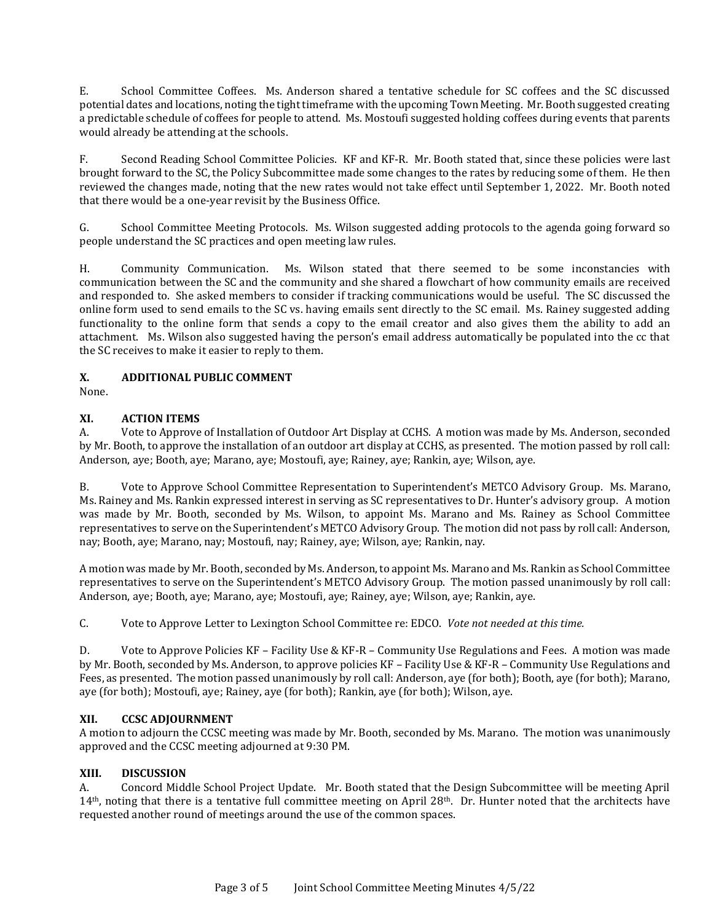E. School Committee Coffees. Ms. Anderson shared a tentative schedule for SC coffees and the SC discussed potential dates and locations, noting the tight timeframe with the upcoming Town Meeting. Mr. Booth suggested creating a predictable schedule of coffees for people to attend. Ms. Mostoufi suggested holding coffees during events that parents would already be attending at the schools.

F. Second Reading School Committee Policies. KF and KF-R. Mr. Booth stated that, since these policies were last brought forward to the SC, the Policy Subcommittee made some changes to the rates by reducing some of them. He then reviewed the changes made, noting that the new rates would not take effect until September 1, 2022. Mr. Booth noted that there would be a one-year revisit by the Business Office.

G. School Committee Meeting Protocols. Ms. Wilson suggested adding protocols to the agenda going forward so people understand the SC practices and open meeting law rules.

H. Community Communication. Ms. Wilson stated that there seemed to be some inconstancies with communication between the SC and the community and she shared a flowchart of how community emails are received and responded to. She asked members to consider if tracking communications would be useful. The SC discussed the online form used to send emails to the SC vs. having emails sent directly to the SC email. Ms. Rainey suggested adding functionality to the online form that sends a copy to the email creator and also gives them the ability to add an attachment. Ms. Wilson also suggested having the person's email address automatically be populated into the cc that the SC receives to make it easier to reply to them.

# **X. ADDITIONAL PUBLIC COMMENT**

None.

# **XI. ACTION ITEMS**

A. Vote to Approve of Installation of Outdoor Art Display at CCHS. A motion was made by Ms. Anderson, seconded by Mr. Booth, to approve the installation of an outdoor art display at CCHS, as presented. The motion passed by roll call: Anderson, aye; Booth, aye; Marano, aye; Mostoufi, aye; Rainey, aye; Rankin, aye; Wilson, aye.

B. Vote to Approve School Committee Representation to Superintendent's METCO Advisory Group. Ms. Marano, Ms. Rainey and Ms. Rankin expressed interest in serving as SC representatives to Dr. Hunter's advisory group. A motion was made by Mr. Booth, seconded by Ms. Wilson, to appoint Ms. Marano and Ms. Rainey as School Committee representatives to serve on the Superintendent's METCO Advisory Group. The motion did not pass by roll call: Anderson, nay; Booth, aye; Marano, nay; Mostoufi, nay; Rainey, aye; Wilson, aye; Rankin, nay.

A motion was made by Mr. Booth, seconded by Ms. Anderson, to appoint Ms. Marano and Ms. Rankin as School Committee representatives to serve on the Superintendent's METCO Advisory Group. The motion passed unanimously by roll call: Anderson, aye; Booth, aye; Marano, aye; Mostoufi, aye; Rainey, aye; Wilson, aye; Rankin, aye.

C. Vote to Approve Letter to Lexington School Committee re: EDCO. *Vote not needed at this time.*

D. Vote to Approve Policies KF – Facility Use & KF-R – Community Use Regulations and Fees. A motion was made by Mr. Booth, seconded by Ms. Anderson, to approve policies KF – Facility Use & KF-R – Community Use Regulations and Fees, as presented. The motion passed unanimously by roll call: Anderson, aye (for both); Booth, aye (for both); Marano, aye (for both); Mostoufi, aye; Rainey, aye (for both); Rankin, aye (for both); Wilson, aye.

# **XII. CCSC ADJOURNMENT**

A motion to adjourn the CCSC meeting was made by Mr. Booth, seconded by Ms. Marano. The motion was unanimously approved and the CCSC meeting adjourned at 9:30 PM.

# **XIII. DISCUSSION**

A. Concord Middle School Project Update. Mr. Booth stated that the Design Subcommittee will be meeting April 14th, noting that there is a tentative full committee meeting on April 28th. Dr. Hunter noted that the architects have requested another round of meetings around the use of the common spaces.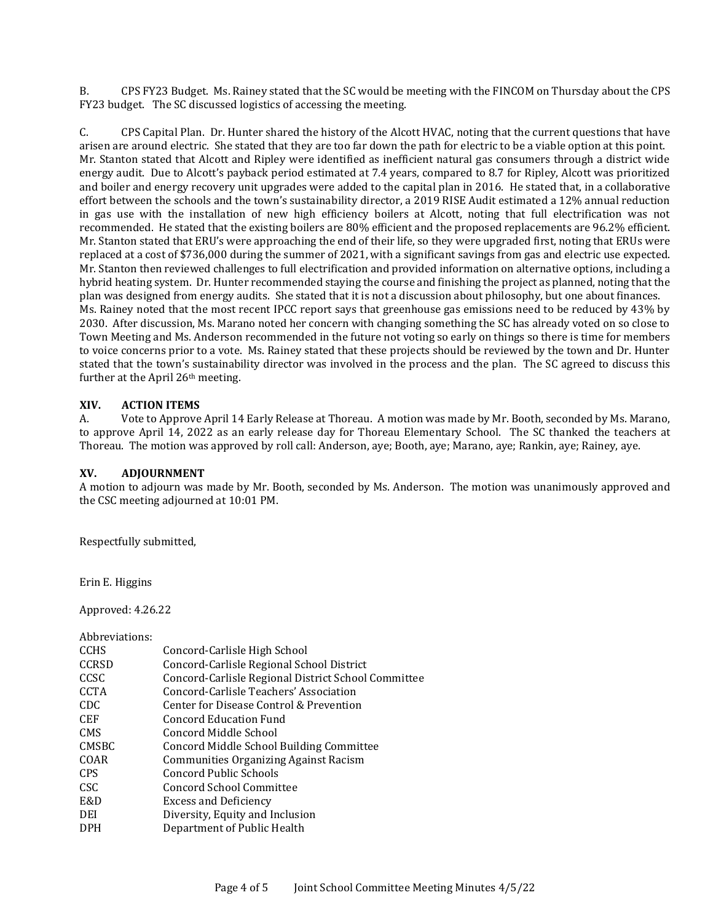B. CPS FY23 Budget. Ms. Rainey stated that the SC would be meeting with the FINCOM on Thursday about the CPS FY23 budget. The SC discussed logistics of accessing the meeting.

C. CPS Capital Plan. Dr. Hunter shared the history of the Alcott HVAC, noting that the current questions that have arisen are around electric. She stated that they are too far down the path for electric to be a viable option at this point. Mr. Stanton stated that Alcott and Ripley were identified as inefficient natural gas consumers through a district wide energy audit. Due to Alcott's payback period estimated at 7.4 years, compared to 8.7 for Ripley, Alcott was prioritized and boiler and energy recovery unit upgrades were added to the capital plan in 2016. He stated that, in a collaborative effort between the schools and the town's sustainability director, a 2019 RISE Audit estimated a 12% annual reduction in gas use with the installation of new high efficiency boilers at Alcott, noting that full electrification was not recommended. He stated that the existing boilers are 80% efficient and the proposed replacements are 96.2% efficient. Mr. Stanton stated that ERU's were approaching the end of their life, so they were upgraded first, noting that ERUs were replaced at a cost of \$736,000 during the summer of 2021, with a significant savings from gas and electric use expected. Mr. Stanton then reviewed challenges to full electrification and provided information on alternative options, including a hybrid heating system. Dr. Hunter recommended staying the course and finishing the project as planned, noting that the plan was designed from energy audits. She stated that it is not a discussion about philosophy, but one about finances. Ms. Rainey noted that the most recent IPCC report says that greenhouse gas emissions need to be reduced by 43% by 2030. After discussion, Ms. Marano noted her concern with changing something the SC has already voted on so close to Town Meeting and Ms. Anderson recommended in the future not voting so early on things so there is time for members to voice concerns prior to a vote. Ms. Rainey stated that these projects should be reviewed by the town and Dr. Hunter stated that the town's sustainability director was involved in the process and the plan. The SC agreed to discuss this further at the April 26<sup>th</sup> meeting.

# **XIV. ACTION ITEMS**

A. Vote to Approve April 14 Early Release at Thoreau. A motion was made by Mr. Booth, seconded by Ms. Marano, to approve April 14, 2022 as an early release day for Thoreau Elementary School. The SC thanked the teachers at Thoreau. The motion was approved by roll call: Anderson, aye; Booth, aye; Marano, aye; Rankin, aye; Rainey, aye.

#### **XV. ADJOURNMENT**

A motion to adjourn was made by Mr. Booth, seconded by Ms. Anderson. The motion was unanimously approved and the CSC meeting adjourned at 10:01 PM.

Respectfully submitted,

Erin E. Higgins

Approved: 4.26.22

Abbreviations:

| <b>CCHS</b>  | Concord-Carlisle High School                        |
|--------------|-----------------------------------------------------|
| <b>CCRSD</b> | Concord-Carlisle Regional School District           |
| CCSC         | Concord-Carlisle Regional District School Committee |
| <b>CCTA</b>  | Concord-Carlisle Teachers' Association              |
| CDC          | Center for Disease Control & Prevention             |
| <b>CEF</b>   | <b>Concord Education Fund</b>                       |
| <b>CMS</b>   | Concord Middle School                               |
| <b>CMSBC</b> | <b>Concord Middle School Building Committee</b>     |
| COAR         | Communities Organizing Against Racism               |
| <b>CPS</b>   | Concord Public Schools                              |
| CSC.         | Concord School Committee                            |
| E&D          | <b>Excess and Deficiency</b>                        |
| DEI          | Diversity, Equity and Inclusion                     |
| <b>DPH</b>   | Department of Public Health                         |